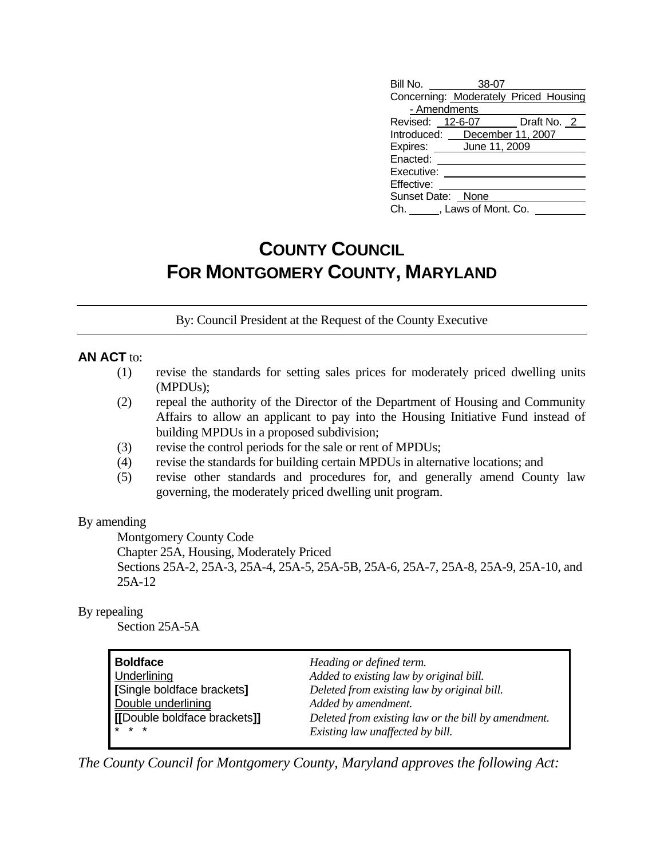| Bill No. 38-07                        |  |  |
|---------------------------------------|--|--|
| Concerning: Moderately Priced Housing |  |  |
| - Amendments                          |  |  |
| Revised: 12-6-07 Draft No. 2          |  |  |
| Introduced: December 11, 2007         |  |  |
| Expires: June 11, 2009                |  |  |
| Enacted:                              |  |  |
| Executive:                            |  |  |
| Effective:                            |  |  |
| Sunset Date: None                     |  |  |
| Ch. , Laws of Mont. Co.               |  |  |

# **COUNTY COUNCIL FOR MONTGOMERY COUNTY, MARYLAND**

By: Council President at the Request of the County Executive

#### **AN ACT** to:

- (1) revise the standards for setting sales prices for moderately priced dwelling units (MPDUs);
- (2) repeal the authority of the Director of the Department of Housing and Community Affairs to allow an applicant to pay into the Housing Initiative Fund instead of building MPDUs in a proposed subdivision;
- (3) revise the control periods for the sale or rent of MPDUs;
- (4) revise the standards for building certain MPDUs in alternative locations; and
- (5) revise other standards and procedures for, and generally amend County law governing, the moderately priced dwelling unit program.

By amending

Montgomery County Code

 Chapter 25A, Housing, Moderately Priced Sections 25A-2, 25A-3, 25A-4, 25A-5, 25A-5B, 25A-6, 25A-7, 25A-8, 25A-9, 25A-10, and 25A-12

#### By repealing

Section 25A-5A

| Boldface                     | Heading or defined term.                            |
|------------------------------|-----------------------------------------------------|
| Underlining                  | Added to existing law by original bill.             |
| Single boldface brackets]    | Deleted from existing law by original bill.         |
| Double underlining           | Added by amendment.                                 |
| [[Double boldface brackets]] | Deleted from existing law or the bill by amendment. |
| * * *                        | Existing law unaffected by bill.                    |

*The County Council for Montgomery County, Maryland approves the following Act:*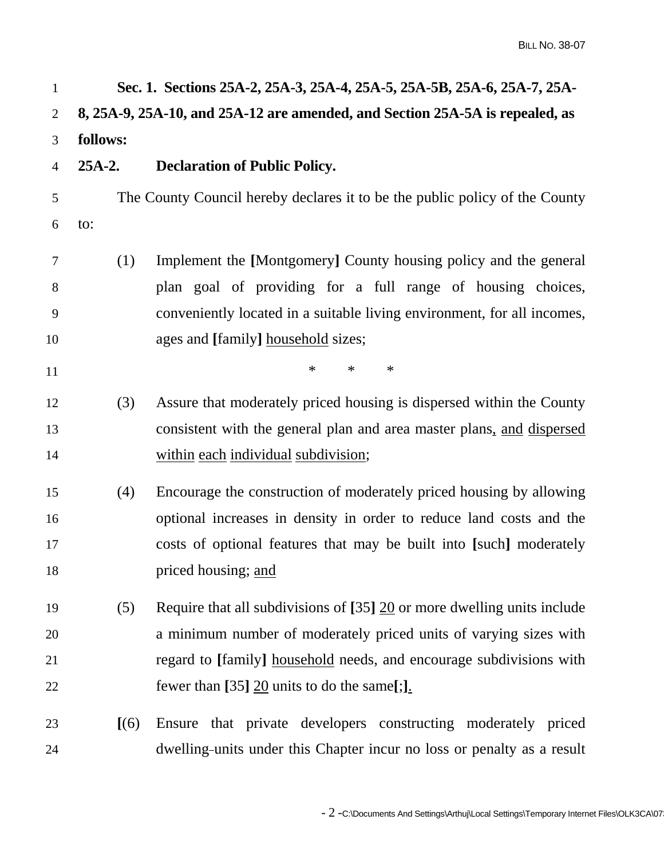| $\mathbf{1}$   |          | Sec. 1. Sections 25A-2, 25A-3, 25A-4, 25A-5, 25A-5B, 25A-6, 25A-7, 25A-                 |
|----------------|----------|-----------------------------------------------------------------------------------------|
| $\overline{2}$ |          | 8, 25A-9, 25A-10, and 25A-12 are amended, and Section 25A-5A is repealed, as            |
| 3              | follows: |                                                                                         |
| $\overline{4}$ | $25A-2.$ | <b>Declaration of Public Policy.</b>                                                    |
| 5              |          | The County Council hereby declares it to be the public policy of the County             |
| 6              | to:      |                                                                                         |
| 7              | (1)      | Implement the [Montgomery] County housing policy and the general                        |
| 8              |          | plan goal of providing for a full range of housing choices,                             |
| 9              |          | conveniently located in a suitable living environment, for all incomes,                 |
| 10             |          | ages and [family] household sizes;                                                      |
| 11             |          | $\ast$<br>$\ast$<br>$\ast$                                                              |
| 12             | (3)      | Assure that moderately priced housing is dispersed within the County                    |
| 13             |          | consistent with the general plan and area master plans, and dispersed                   |
| 14             |          | within each individual subdivision;                                                     |
| 15             | (4)      | Encourage the construction of moderately priced housing by allowing                     |
| 16             |          | optional increases in density in order to reduce land costs and the                     |
| 17             |          | costs of optional features that may be built into [such] moderately                     |
| 18             |          | priced housing; and                                                                     |
| 19             | (5)      | Require that all subdivisions of $[35]$ $\underline{20}$ or more dwelling units include |
| 20             |          | a minimum number of moderately priced units of varying sizes with                       |
| 21             |          | regard to [family] household needs, and encourage subdivisions with                     |
| 22             |          | fewer than [35] $20$ units to do the same[;].                                           |
| 23             | [(6)]    | Ensure that private developers constructing moderately priced                           |
| 24             |          | dwelling-units under this Chapter incur no loss or penalty as a result                  |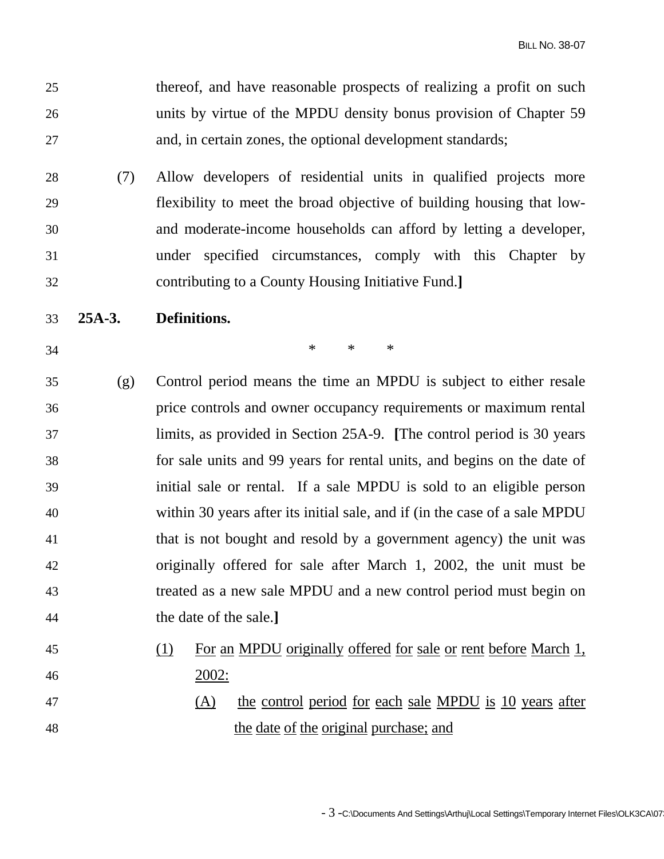25 thereof, and have reasonable prospects of realizing a profit on such 26 units by virtue of the MPDU density bonus provision of Chapter 59 27 and, in certain zones, the optional development standards;

- 28 (7) Allow developers of residential units in qualified projects more 29 flexibility to meet the broad objective of building housing that low-30 and moderate-income households can afford by letting a developer, 31 under specified circumstances, comply with this Chapter by 32 contributing to a County Housing Initiative Fund.**]**
- 33 **25A-3. Definitions.**
- 

 $34$  \* \* \*

- 35 (g) Control period means the time an MPDU is subject to either resale 36 price controls and owner occupancy requirements or maximum rental 37 limits, as provided in Section 25A-9. **[**The control period is 30 years 38 for sale units and 99 years for rental units, and begins on the date of 39 initial sale or rental. If a sale MPDU is sold to an eligible person 40 within 30 years after its initial sale, and if (in the case of a sale MPDU 41 that is not bought and resold by a government agency) the unit was 42 originally offered for sale after March 1, 2002, the unit must be 43 treated as a new sale MPDU and a new control period must begin on 44 the date of the sale.**]**
- 45 (1) For an MPDU originally offered for sale or rent before March 1, 46 2002:
- 47 (A) the control period for each sale MPDU is 10 years after 48 the date of the original purchase; and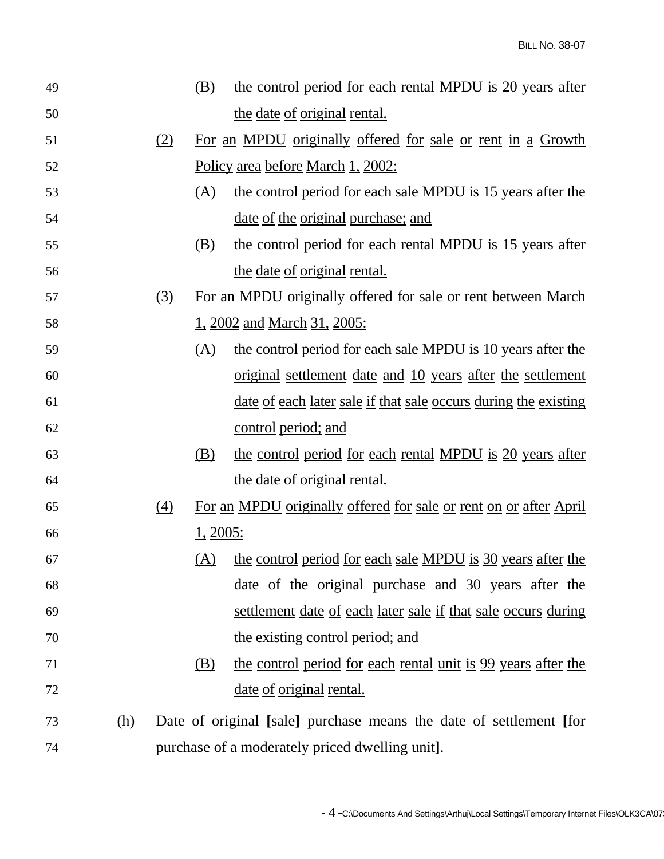| 49 |     |            | (B)             | the control period for each rental MPDU is 20 years after              |
|----|-----|------------|-----------------|------------------------------------------------------------------------|
| 50 |     |            |                 | <u>the date of original rental.</u>                                    |
| 51 |     | (2)        |                 | For an MPDU originally offered for sale or rent in a Growth            |
| 52 |     |            |                 | <u>Policy area before March 1, 2002:</u>                               |
| 53 |     |            | (A)             | the control period for each sale MPDU is 15 years after the            |
| 54 |     |            |                 | <u>date of the original purchase; and</u>                              |
| 55 |     |            | (B)             | the control period for each rental MPDU is 15 years after              |
| 56 |     |            |                 | the date of original rental.                                           |
| 57 |     | <u>(3)</u> |                 | For an MPDU originally offered for sale or rent between March          |
| 58 |     |            |                 | <u>1, 2002 and March 31, 2005:</u>                                     |
| 59 |     |            | (A)             | the control period for each sale MPDU is 10 years after the            |
| 60 |     |            |                 | <u>original settlement date and 10 years after the settlement</u>      |
| 61 |     |            |                 | <u>date of each later sale if that sale occurs during the existing</u> |
| 62 |     |            |                 | control period; and                                                    |
| 63 |     |            | (B)             | the control period for each rental MPDU is 20 years after              |
| 64 |     |            |                 | the date of original rental.                                           |
| 65 |     | (4)        |                 | For an MPDU originally offered for sale or rent on or after April      |
| 66 |     |            | <u>1, 2005:</u> |                                                                        |
| 67 |     |            | (A)             | the control period for each sale MPDU is 30 years after the            |
| 68 |     |            |                 | <u>date of the original purchase and 30 years after the</u>            |
| 69 |     |            |                 | <u>settlement date of each later sale if that sale occurs during</u>   |
| 70 |     |            |                 | the existing control period; and                                       |
| 71 |     |            | <u>(B)</u>      | the control period for each rental unit is 99 years after the          |
| 72 |     |            |                 | <u>date of original rental.</u>                                        |
| 73 | (h) |            |                 | Date of original [sale] purchase means the date of settlement [for     |
| 74 |     |            |                 | purchase of a moderately priced dwelling unit].                        |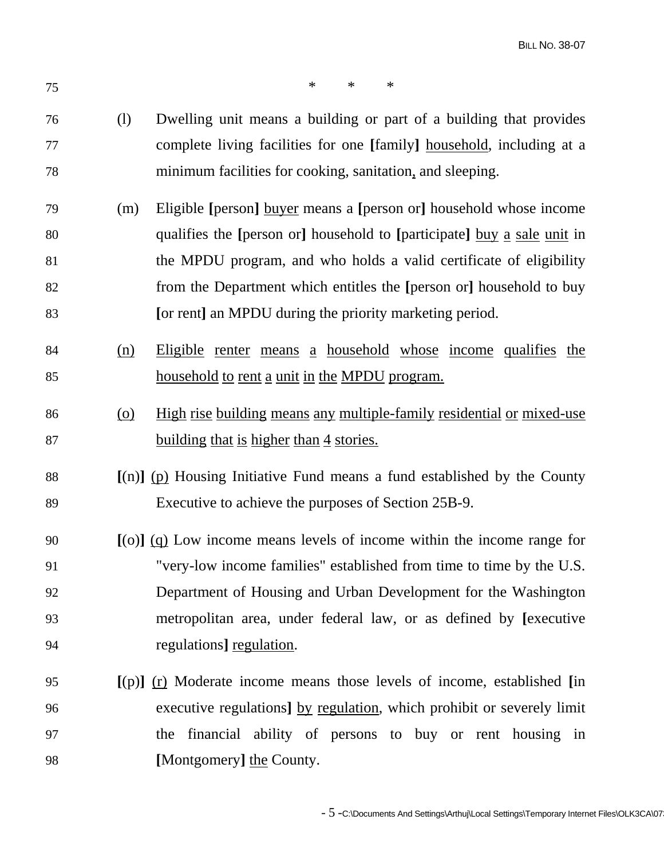| 75 |            | $\ast$<br>$\ast$<br>$\ast$                                                   |
|----|------------|------------------------------------------------------------------------------|
| 76 | (1)        | Dwelling unit means a building or part of a building that provides           |
| 77 |            | complete living facilities for one [family] household, including at a        |
| 78 |            | minimum facilities for cooking, sanitation, and sleeping.                    |
| 79 | (m)        | Eligible [person] buyer means a [person or] household whose income           |
| 80 |            | qualifies the [person or] household to [participate] buy a sale unit in      |
| 81 |            | the MPDU program, and who holds a valid certificate of eligibility           |
| 82 |            | from the Department which entitles the [person or] household to buy          |
| 83 |            | [or rent] an MPDU during the priority marketing period.                      |
| 84 | (n)        | Eligible renter means a household whose income qualifies the                 |
| 85 |            | <u>household to rent a unit in the MPDU program.</u>                         |
| 86 | <u>(0)</u> | <u>High rise building means any multiple-family residential or mixed-use</u> |
| 87 |            | <u>building that is higher than 4 stories.</u>                               |
| 88 |            | $[(n)]$ (p) Housing Initiative Fund means a fund established by the County   |
| 89 |            | Executive to achieve the purposes of Section 25B-9.                          |
| 90 |            | $[0.1]$ (q) Low income means levels of income within the income range for    |
| 91 |            | "very-low income families" established from time to time by the U.S.         |
| 92 |            | Department of Housing and Urban Development for the Washington               |
| 93 |            | metropolitan area, under federal law, or as defined by [executive            |
| 94 |            | regulations] regulation.                                                     |
| 95 |            | $[(p)]$ (r) Moderate income means those levels of income, established [in    |
| 96 |            | executive regulations] by regulation, which prohibit or severely limit       |
| 97 |            | the financial ability of persons to buy or rent housing in                   |
| 98 |            | [Montgomery] the County.                                                     |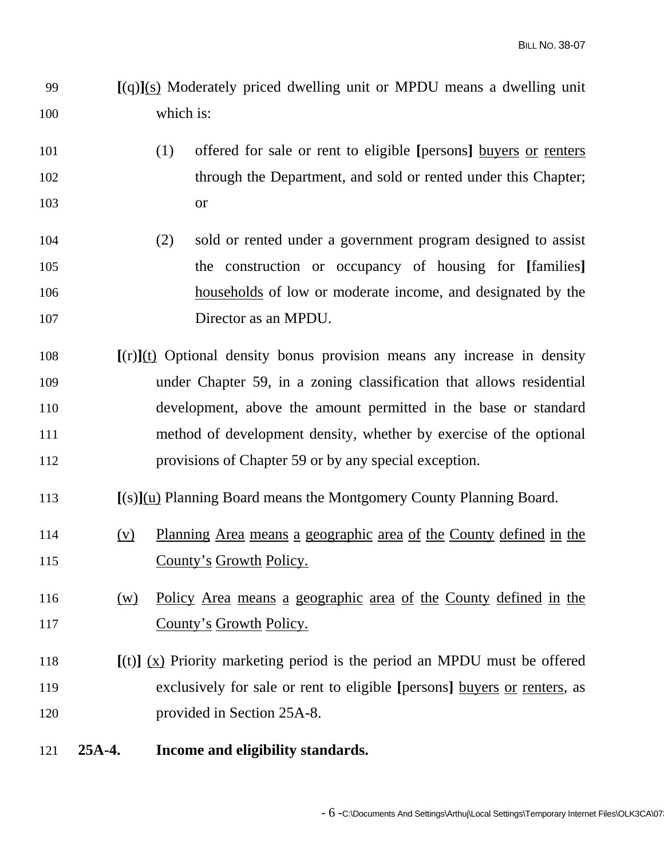- 99 **[**(q)**]**(s) Moderately priced dwelling unit or MPDU means a dwelling unit 100 which is:
- 101 (1) offered for sale or rent to eligible **[**persons**]** buyers or renters 102 through the Department, and sold or rented under this Chapter; 103 or
- 104 (2) sold or rented under a government program designed to assist 105 the construction or occupancy of housing for **[**families**]** 106 households of low or moderate income, and designated by the 107 Director as an MPDU.
- 108 **[**(r)**]**(t) Optional density bonus provision means any increase in density 109 under Chapter 59, in a zoning classification that allows residential 110 development, above the amount permitted in the base or standard 111 method of development density, whether by exercise of the optional 112 provisions of Chapter 59 or by any special exception.
- 113 **[**(s)**]**(u) Planning Board means the Montgomery County Planning Board.
- 114 (v) Planning Area means a geographic area of the County defined in the 115 County's Growth Policy.
- 116 (w) Policy Area means a geographic area of the County defined in the 117 County's Growth Policy.
- 118 **[**(t)**]** (x) Priority marketing period is the period an MPDU must be offered 119 exclusively for sale or rent to eligible **[**persons**]** buyers or renters, as 120 provided in Section 25A-8.
- 121 **25A-4. Income and eligibility standards.**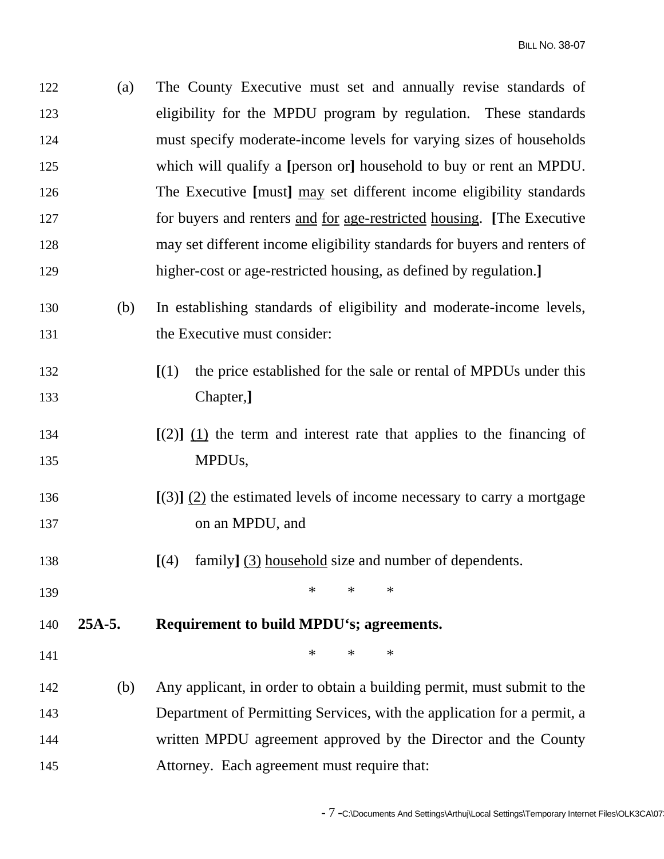122 (a) The County Executive must set and annually revise standards of 123 eligibility for the MPDU program by regulation. These standards 124 must specify moderate-income levels for varying sizes of households 125 which will qualify a **[**person or**]** household to buy or rent an MPDU. 126 The Executive **[**must**]** may set different income eligibility standards 127 for buyers and renters and for age-restricted housing. **[**The Executive 128 may set different income eligibility standards for buyers and renters of 129 higher-cost or age-restricted housing, as defined by regulation.**]** 130 (b) In establishing standards of eligibility and moderate-income levels, 131 the Executive must consider: 132 **[**(1) the price established for the sale or rental of MPDUs under this 133 Chapter,**]** 134 **[**(2)**]** (1) the term and interest rate that applies to the financing of 135 MPDUs, 136 **[**(3)**]** (2) the estimated levels of income necessary to carry a mortgage 137 on an MPDU, and 138 **[**(4) family**]** (3) household size and number of dependents. 139 **\*** \* \* \* 140 **25A-5. Requirement to build MPDU's; agreements.**   $141$  \* \* \* 142 (b) Any applicant, in order to obtain a building permit, must submit to the 143 Department of Permitting Services, with the application for a permit, a 144 written MPDU agreement approved by the Director and the County 145 Attorney. Each agreement must require that: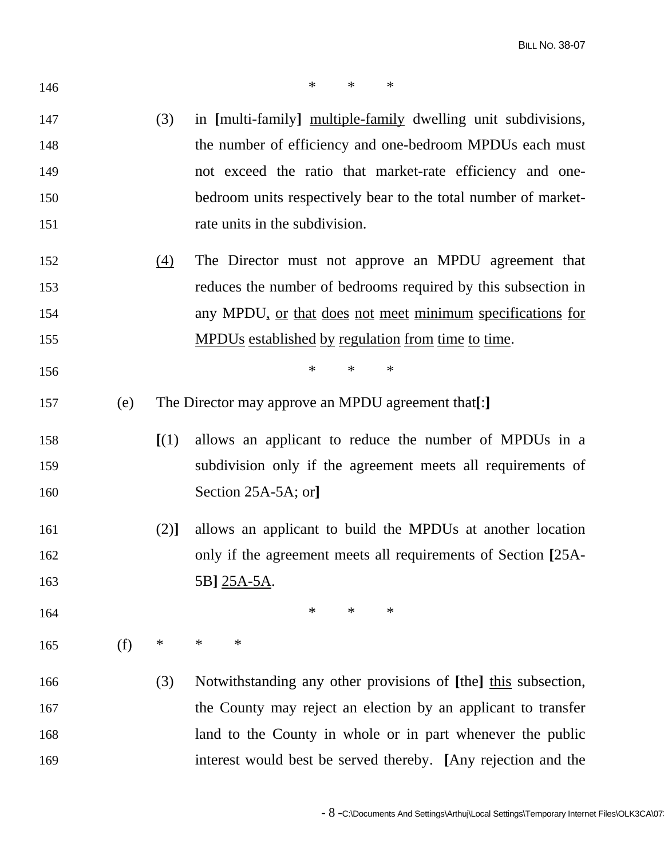| 146 |     |        | $\ast$<br>$\ast$<br>$\ast$                                     |
|-----|-----|--------|----------------------------------------------------------------|
| 147 |     | (3)    | in [multi-family] multiple-family dwelling unit subdivisions,  |
| 148 |     |        | the number of efficiency and one-bedroom MPDUs each must       |
| 149 |     |        | not exceed the ratio that market-rate efficiency and one-      |
| 150 |     |        | bedroom units respectively bear to the total number of market- |
| 151 |     |        | rate units in the subdivision.                                 |
| 152 |     | (4)    | The Director must not approve an MPDU agreement that           |
| 153 |     |        | reduces the number of bedrooms required by this subsection in  |
| 154 |     |        | any MPDU, or that does not meet minimum specifications for     |
| 155 |     |        | MPDUs established by regulation from time to time.             |
| 156 |     |        | $\ast$<br>$\ast$<br>$\ast$                                     |
| 157 | (e) |        | The Director may approve an MPDU agreement that[:]             |
| 158 |     | [(1)]  | allows an applicant to reduce the number of MPDUs in a         |
| 159 |     |        | subdivision only if the agreement meets all requirements of    |
| 160 |     |        | Section 25A-5A; or]                                            |
| 161 |     | (2)]   | allows an applicant to build the MPDUs at another location     |
| 162 |     |        | only if the agreement meets all requirements of Section [25A-  |
| 163 |     |        | 5B] 25A-5A.                                                    |
| 164 |     |        | $\ast$<br>∗<br>$\ast$                                          |
| 165 | (f) | $\ast$ | $\ast$<br>$\ast$                                               |
| 166 |     | (3)    | Notwithstanding any other provisions of [the] this subsection, |
| 167 |     |        | the County may reject an election by an applicant to transfer  |
| 168 |     |        | land to the County in whole or in part whenever the public     |
| 169 |     |        | interest would best be served thereby. [Any rejection and the  |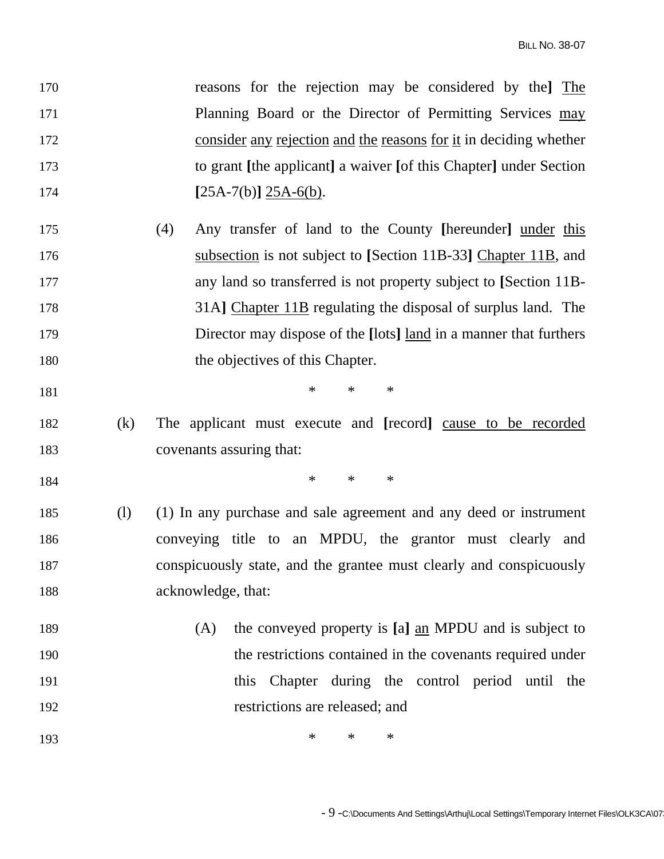| 170 |     | reasons for the rejection may be considered by the The              |
|-----|-----|---------------------------------------------------------------------|
| 171 |     | Planning Board or the Director of Permitting Services may           |
| 172 |     | consider any rejection and the reasons for it in deciding whether   |
| 173 |     | to grant [the applicant] a waiver [of this Chapter] under Section   |
| 174 |     | $[25A-7(b)]$ $25A-6(b)$ .                                           |
| 175 |     | (4)<br>Any transfer of land to the County [hereunder] under this    |
| 176 |     | subsection is not subject to [Section 11B-33] Chapter 11B, and      |
| 177 |     | any land so transferred is not property subject to [Section 11B-    |
| 178 |     | 31A] Chapter 11B regulating the disposal of surplus land. The       |
| 179 |     | Director may dispose of the [lots] land in a manner that furthers   |
| 180 |     | the objectives of this Chapter.                                     |
| 181 |     | $\ast$<br>$\ast$<br>$\ast$                                          |
| 182 | (k) | The applicant must execute and [record] cause to be recorded        |
| 183 |     | covenants assuring that:                                            |
| 184 |     | $\ast$<br>$\ast$<br>$\ast$                                          |
| 185 | (1) | (1) In any purchase and sale agreement and any deed or instrument   |
| 186 |     | conveying title to an MPDU, the grantor must clearly and            |
| 187 |     | conspicuously state, and the grantee must clearly and conspicuously |
| 188 |     | acknowledge, that:                                                  |
| 189 |     | the conveyed property is [a] an MPDU and is subject to<br>(A)       |
| 190 |     | the restrictions contained in the covenants required under          |
| 191 |     | this Chapter during the control period until the                    |
| 192 |     | restrictions are released; and                                      |
|     |     |                                                                     |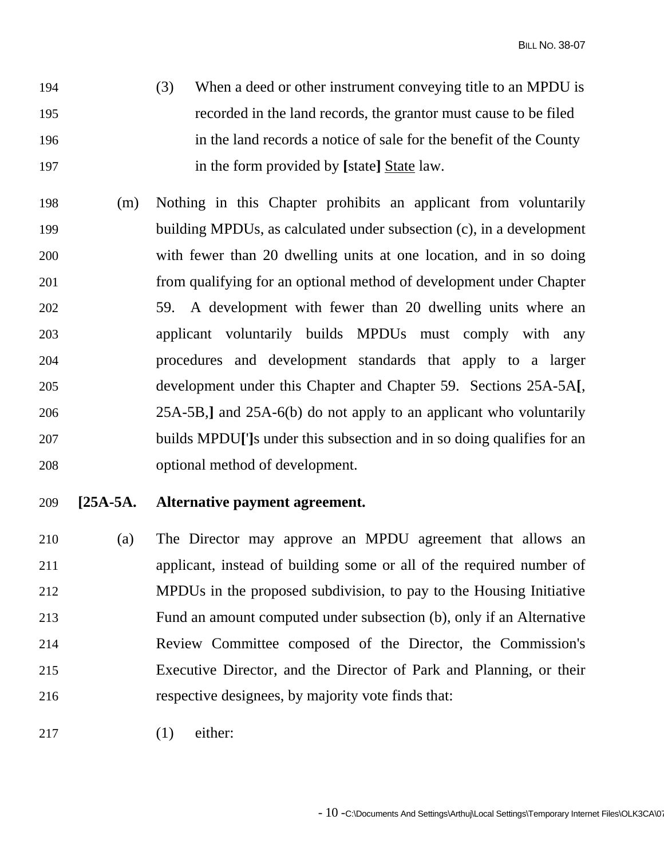- 194 (3) When a deed or other instrument conveying title to an MPDU is 195 recorded in the land records, the grantor must cause to be filed 196 in the land records a notice of sale for the benefit of the County 197 in the form provided by **[**state**]** State law.
- 198 (m) Nothing in this Chapter prohibits an applicant from voluntarily 199 building MPDUs, as calculated under subsection (c), in a development 200 with fewer than 20 dwelling units at one location, and in so doing 201 from qualifying for an optional method of development under Chapter 202 59. A development with fewer than 20 dwelling units where an 203 applicant voluntarily builds MPDUs must comply with any 204 procedures and development standards that apply to a larger 205 development under this Chapter and Chapter 59. Sections 25A-5A**[**, 206 25A-5B,**]** and 25A-6(b) do not apply to an applicant who voluntarily 207 builds MPDU**[**'**]**s under this subsection and in so doing qualifies for an 208 optional method of development.

## 209 **[25A-5A. Alternative payment agreement.**

- 210 (a) The Director may approve an MPDU agreement that allows an 211 applicant, instead of building some or all of the required number of 212 MPDUs in the proposed subdivision, to pay to the Housing Initiative 213 Fund an amount computed under subsection (b), only if an Alternative 214 Review Committee composed of the Director, the Commission's 215 Executive Director, and the Director of Park and Planning, or their 216 respective designees, by majority vote finds that:
- 217 (1) either: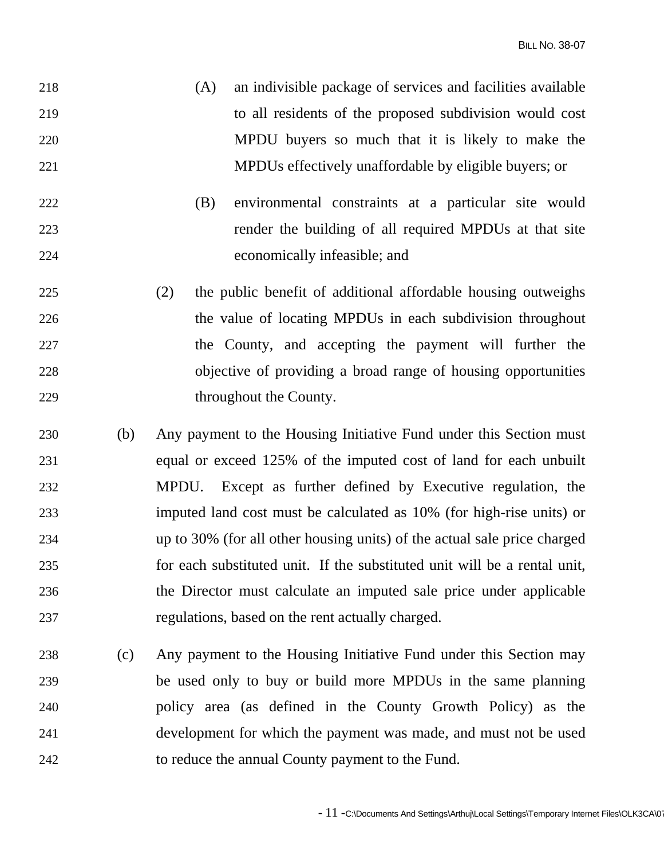- 218 (A) an indivisible package of services and facilities available 219 to all residents of the proposed subdivision would cost 220 MPDU buyers so much that it is likely to make the 221 MPDUs effectively unaffordable by eligible buyers; or
- 222 (B) environmental constraints at a particular site would 223 render the building of all required MPDUs at that site 224 economically infeasible; and
- 225 (2) the public benefit of additional affordable housing outweighs 226 the value of locating MPDUs in each subdivision throughout 227 the County, and accepting the payment will further the 228 objective of providing a broad range of housing opportunities 229 throughout the County.
- 230 (b) Any payment to the Housing Initiative Fund under this Section must 231 equal or exceed 125% of the imputed cost of land for each unbuilt 232 MPDU. Except as further defined by Executive regulation, the 233 imputed land cost must be calculated as 10% (for high-rise units) or 234 up to 30% (for all other housing units) of the actual sale price charged 235 for each substituted unit. If the substituted unit will be a rental unit, 236 the Director must calculate an imputed sale price under applicable 237 regulations, based on the rent actually charged.
- 238 (c) Any payment to the Housing Initiative Fund under this Section may 239 be used only to buy or build more MPDUs in the same planning 240 policy area (as defined in the County Growth Policy) as the 241 development for which the payment was made, and must not be used 242 to reduce the annual County payment to the Fund.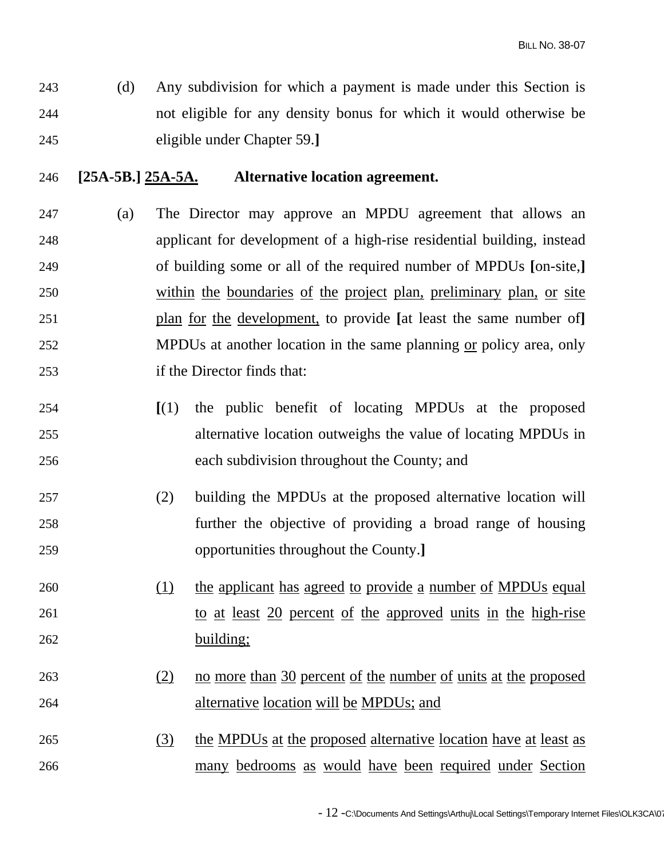243 (d) Any subdivision for which a payment is made under this Section is 244 not eligible for any density bonus for which it would otherwise be 245 eligible under Chapter 59.**]**

#### 246 **[25A-5B.] 25A-5A. Alternative location agreement.**

- 247 (a) The Director may approve an MPDU agreement that allows an 248 applicant for development of a high-rise residential building, instead 249 of building some or all of the required number of MPDUs **[**on-site,**]** 250 within the boundaries of the project plan, preliminary plan, or site 251 plan for the development, to provide **[**at least the same number of**]** 252 MPDUs at another location in the same planning or policy area, only 253 if the Director finds that:
- 254 **[**(1) the public benefit of locating MPDUs at the proposed 255 alternative location outweighs the value of locating MPDUs in 256 each subdivision throughout the County; and
- 257 (2) building the MPDUs at the proposed alternative location will 258 further the objective of providing a broad range of housing 259 opportunities throughout the County.**]**
- 260 (1) the applicant has agreed to provide a number of MPDUs equal 261 to at least 20 percent of the approved units in the high-rise 262 building;
- 263 (2) no more than 30 percent of the number of units at the proposed 264 alternative location will be MPDUs; and
- 265 (3) the MPDUs at the proposed alternative location have at least as 266 many bedrooms as would have been required under Section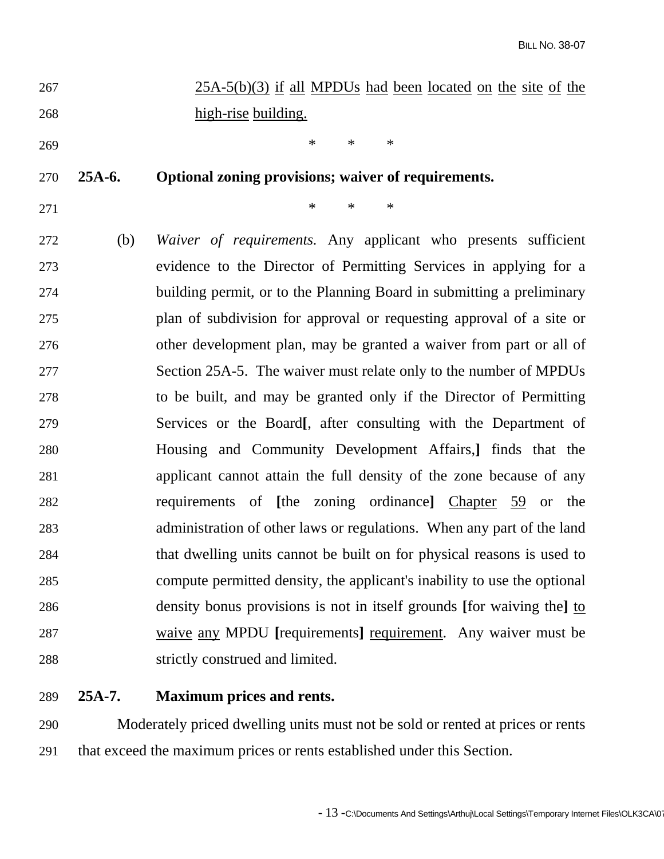| 267 | $25A-5(b)(3)$ if all MPDUs had been located on the site of the |
|-----|----------------------------------------------------------------|
| 268 | high-rise building.                                            |

 $269$  \* \* \* \*

## 270 **25A-6. Optional zoning provisions; waiver of requirements.**

271  $*$  \* \* \*

272 (b) *Waiver of requirements.* Any applicant who presents sufficient 273 evidence to the Director of Permitting Services in applying for a 274 building permit, or to the Planning Board in submitting a preliminary 275 plan of subdivision for approval or requesting approval of a site or 276 other development plan, may be granted a waiver from part or all of 277 Section 25A-5. The waiver must relate only to the number of MPDUs 278 to be built, and may be granted only if the Director of Permitting 279 Services or the Board**[**, after consulting with the Department of 280 Housing and Community Development Affairs,**]** finds that the 281 applicant cannot attain the full density of the zone because of any 282 requirements of **[**the zoning ordinance**]** Chapter 59 or the 283 administration of other laws or regulations. When any part of the land 284 that dwelling units cannot be built on for physical reasons is used to 285 compute permitted density, the applicant's inability to use the optional 286 density bonus provisions is not in itself grounds **[**for waiving the**]** to 287 waive any MPDU **[**requirements**]** requirement. Any waiver must be 288 strictly construed and limited.

#### 289 **25A-7. Maximum prices and rents.**

290 Moderately priced dwelling units must not be sold or rented at prices or rents 291 that exceed the maximum prices or rents established under this Section.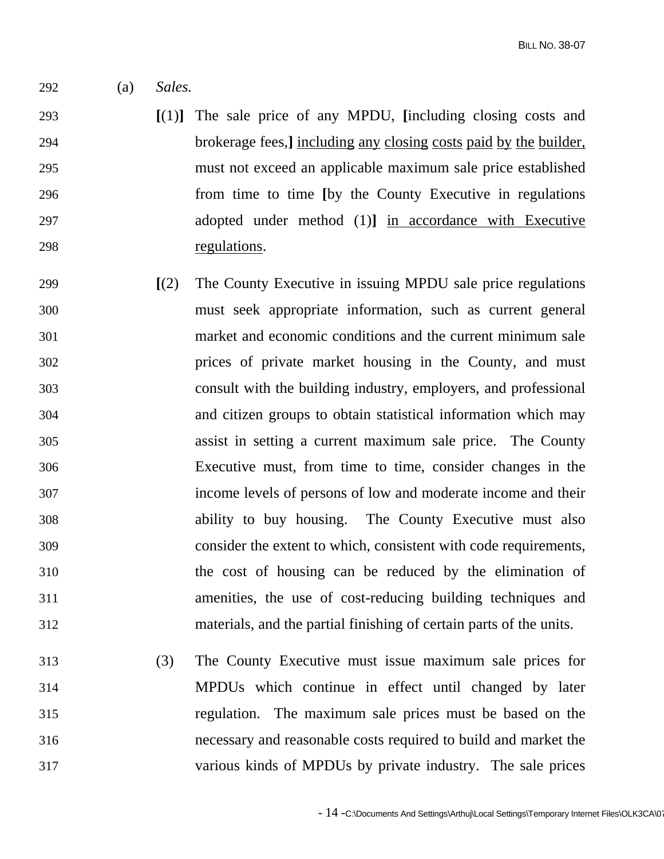**BILL NO. 38-07** 

- 292 (a) *Sales.*
- 293 **[**(1)**]** The sale price of any MPDU, **[**including closing costs and 294 brokerage fees,**]** including any closing costs paid by the builder, 295 must not exceed an applicable maximum sale price established 296 from time to time **[**by the County Executive in regulations 297 adopted under method (1)**]** in accordance with Executive 298 regulations.
- 299 **[**(2) The County Executive in issuing MPDU sale price regulations 300 must seek appropriate information, such as current general 301 market and economic conditions and the current minimum sale 302 prices of private market housing in the County, and must 303 consult with the building industry, employers, and professional 304 and citizen groups to obtain statistical information which may 305 assist in setting a current maximum sale price. The County 306 Executive must, from time to time, consider changes in the 307 income levels of persons of low and moderate income and their 308 ability to buy housing. The County Executive must also 309 consider the extent to which, consistent with code requirements, 310 the cost of housing can be reduced by the elimination of 311 amenities, the use of cost-reducing building techniques and 312 materials, and the partial finishing of certain parts of the units.
- 313 (3) The County Executive must issue maximum sale prices for 314 MPDUs which continue in effect until changed by later 315 regulation. The maximum sale prices must be based on the 316 necessary and reasonable costs required to build and market the 317 various kinds of MPDUs by private industry. The sale prices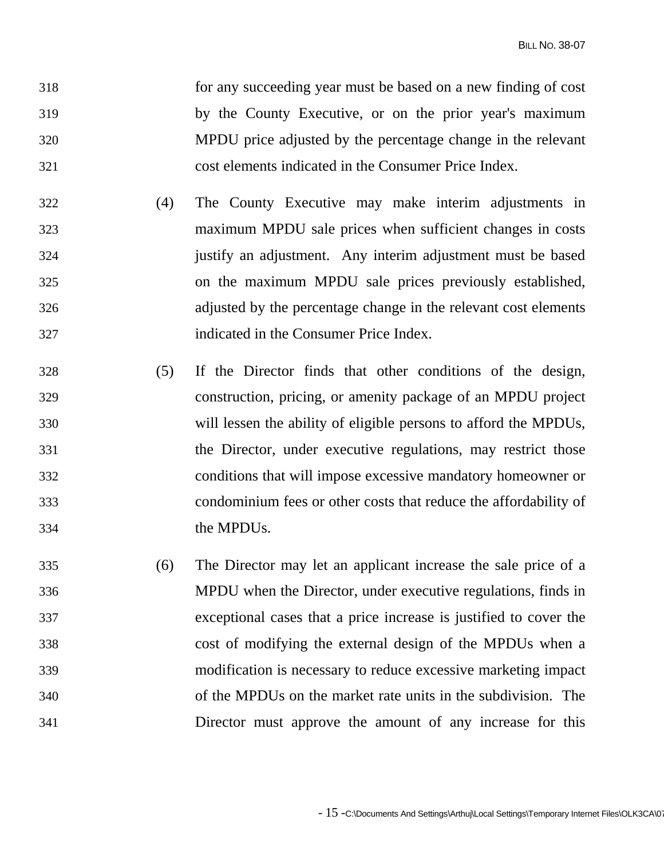- 318 for any succeeding year must be based on a new finding of cost 319 by the County Executive, or on the prior year's maximum 320 MPDU price adjusted by the percentage change in the relevant 321 cost elements indicated in the Consumer Price Index.
- 322 (4) The County Executive may make interim adjustments in 323 maximum MPDU sale prices when sufficient changes in costs 324 justify an adjustment. Any interim adjustment must be based 325 on the maximum MPDU sale prices previously established, 326 adjusted by the percentage change in the relevant cost elements 327 indicated in the Consumer Price Index.
- 328 (5) If the Director finds that other conditions of the design, 329 construction, pricing, or amenity package of an MPDU project 330 will lessen the ability of eligible persons to afford the MPDUs, 331 the Director, under executive regulations, may restrict those 332 conditions that will impose excessive mandatory homeowner or 333 condominium fees or other costs that reduce the affordability of 334 the MPDUs.
- 335 (6) The Director may let an applicant increase the sale price of a 336 MPDU when the Director, under executive regulations, finds in 337 exceptional cases that a price increase is justified to cover the 338 cost of modifying the external design of the MPDUs when a 339 modification is necessary to reduce excessive marketing impact 340 of the MPDUs on the market rate units in the subdivision. The 341 Director must approve the amount of any increase for this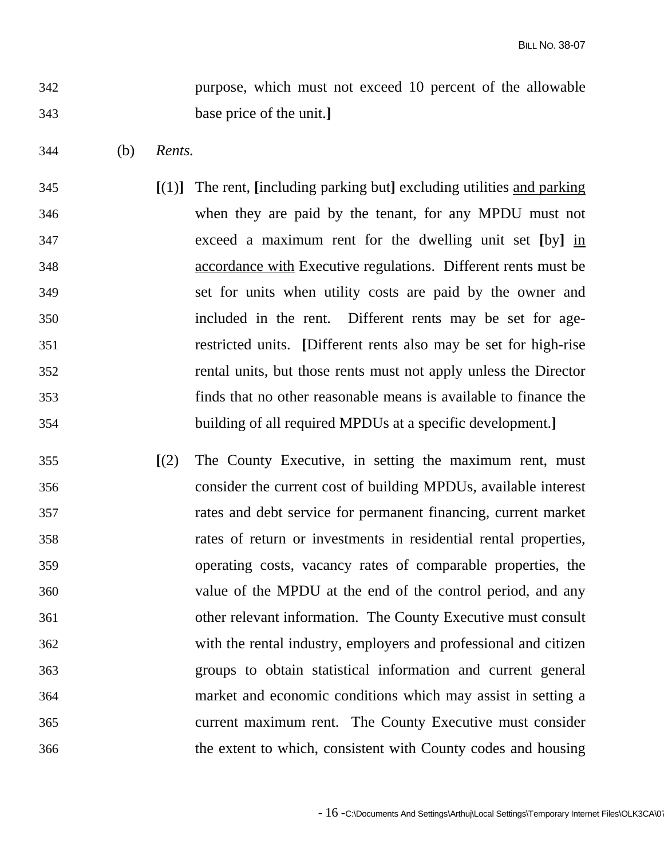342 purpose, which must not exceed 10 percent of the allowable 343 base price of the unit.**]**

- 344 (b) *Rents.*
- 345 **[**(1)**]** The rent, **[**including parking but**]** excluding utilities and parking 346 when they are paid by the tenant, for any MPDU must not 347 exceed a maximum rent for the dwelling unit set **[**by**]** in 348 accordance with Executive regulations. Different rents must be 349 set for units when utility costs are paid by the owner and 350 included in the rent. Different rents may be set for age-351 restricted units. **[**Different rents also may be set for high-rise 352 rental units, but those rents must not apply unless the Director 353 finds that no other reasonable means is available to finance the 354 building of all required MPDUs at a specific development.**]**
- 355 **[**(2) The County Executive, in setting the maximum rent, must 356 consider the current cost of building MPDUs, available interest 357 rates and debt service for permanent financing, current market 358 rates of return or investments in residential rental properties, 359 operating costs, vacancy rates of comparable properties, the 360 value of the MPDU at the end of the control period, and any 361 other relevant information. The County Executive must consult 362 with the rental industry, employers and professional and citizen 363 groups to obtain statistical information and current general 364 market and economic conditions which may assist in setting a 365 current maximum rent. The County Executive must consider 366 the extent to which, consistent with County codes and housing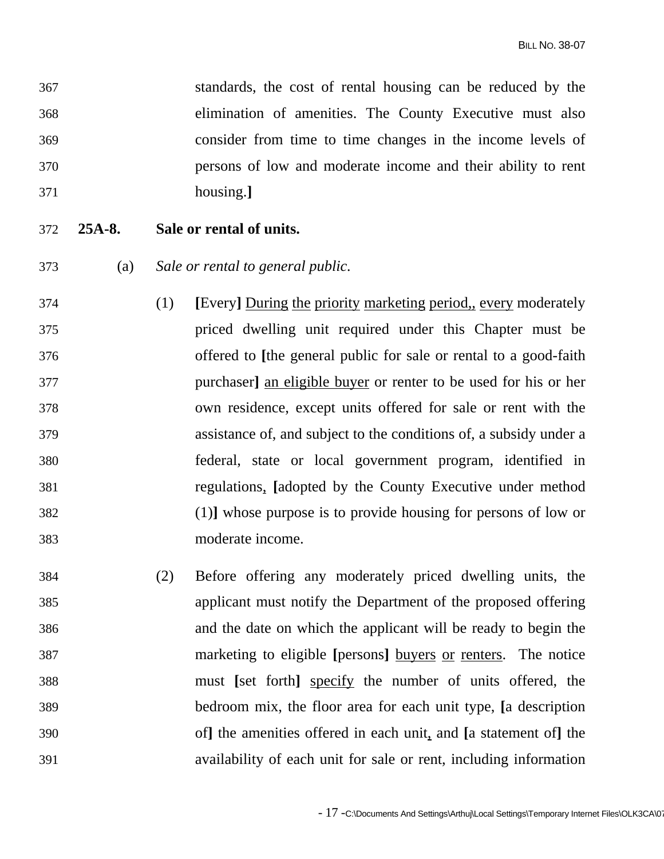| 367 |          | standards, the cost of rental housing can be reduced by the           |
|-----|----------|-----------------------------------------------------------------------|
| 368 |          | elimination of amenities. The County Executive must also              |
| 369 |          | consider from time to time changes in the income levels of            |
| 370 |          | persons of low and moderate income and their ability to rent          |
| 371 |          | housing.]                                                             |
| 372 | $25A-8.$ | Sale or rental of units.                                              |
| 373 | (a)      | Sale or rental to general public.                                     |
| 374 |          | [Every] During the priority marketing period, every moderately<br>(1) |
| 375 |          | priced dwelling unit required under this Chapter must be              |
| 376 |          | offered to [the general public for sale or rental to a good-faith     |
| 377 |          | purchaser] an eligible buyer or renter to be used for his or her      |
| 378 |          | own residence, except units offered for sale or rent with the         |
| 379 |          | assistance of, and subject to the conditions of, a subsidy under a    |
| 380 |          | federal, state or local government program, identified in             |
| 381 |          | regulations, [adopted by the County Executive under method            |
| 382 |          | (1) whose purpose is to provide housing for persons of low or         |
| 383 |          | moderate income.                                                      |
| 384 |          | Before offering any moderately priced dwelling units, the<br>(2)      |
| 385 |          | applicant must notify the Department of the proposed offering         |
| 386 |          | and the date on which the applicant will be ready to begin the        |
| 387 |          | marketing to eligible [persons] buyers or renters. The notice         |
| 388 |          | must [set forth] specify the number of units offered, the             |
| 389 |          | bedroom mix, the floor area for each unit type, [a description        |
| 390 |          | of] the amenities offered in each unit, and [a statement of] the      |
| 391 |          | availability of each unit for sale or rent, including information     |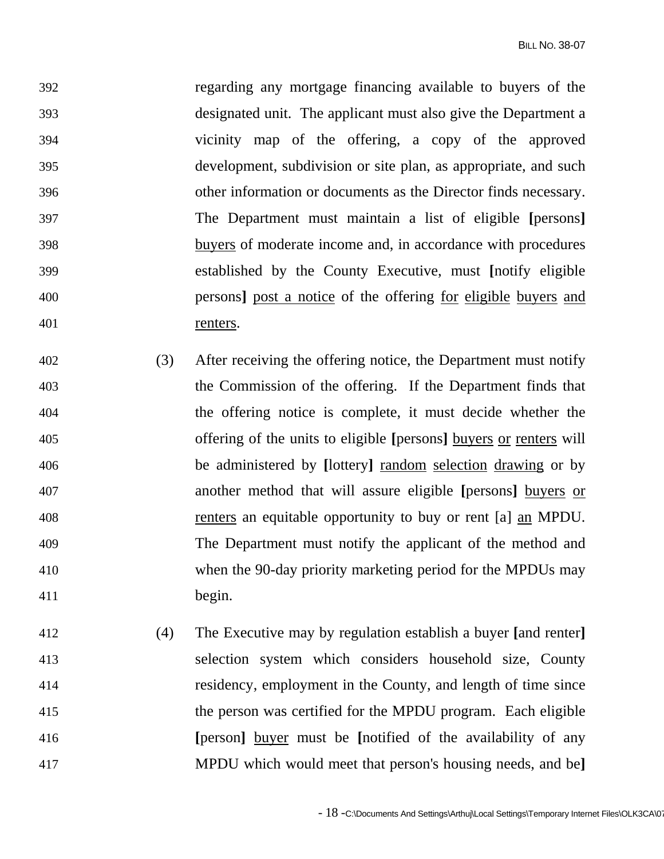392 regarding any mortgage financing available to buyers of the 393 designated unit. The applicant must also give the Department a 394 vicinity map of the offering, a copy of the approved 395 development, subdivision or site plan, as appropriate, and such 396 other information or documents as the Director finds necessary. 397 The Department must maintain a list of eligible **[**persons**]** 398 buyers of moderate income and, in accordance with procedures 399 established by the County Executive, must **[**notify eligible 400 persons**]** post a notice of the offering for eligible buyers and 401 renters.

- 402 (3) After receiving the offering notice, the Department must notify 403 the Commission of the offering. If the Department finds that 404 the offering notice is complete, it must decide whether the 405 offering of the units to eligible **[**persons**]** buyers or renters will 406 be administered by **[**lottery**]** random selection drawing or by 407 another method that will assure eligible **[**persons**]** buyers or 408 renters an equitable opportunity to buy or rent [a] an MPDU. 409 The Department must notify the applicant of the method and 410 when the 90-day priority marketing period for the MPDUs may 411 begin.
- 412 (4) The Executive may by regulation establish a buyer **[**and renter**]** 413 selection system which considers household size, County 414 residency, employment in the County, and length of time since 415 the person was certified for the MPDU program. Each eligible 416 **[**person**]** buyer must be **[**notified of the availability of any 417 MPDU which would meet that person's housing needs, and be**]**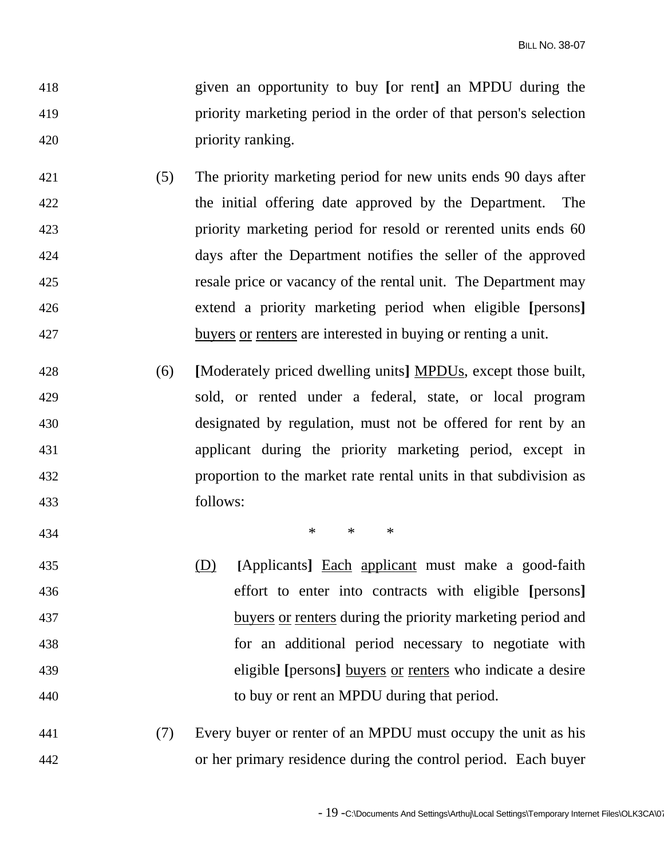- 418 given an opportunity to buy **[**or rent**]** an MPDU during the 419 priority marketing period in the order of that person's selection 420 priority ranking.
- 421 (5) The priority marketing period for new units ends 90 days after 422 the initial offering date approved by the Department. The 423 priority marketing period for resold or rerented units ends 60 424 days after the Department notifies the seller of the approved 425 resale price or vacancy of the rental unit. The Department may 426 extend a priority marketing period when eligible **[**persons**]** 427 buyers or renters are interested in buying or renting a unit.
- 428 (6) **[**Moderately priced dwelling units**]** MPDUs, except those built, 429 sold, or rented under a federal, state, or local program 430 designated by regulation, must not be offered for rent by an 431 applicant during the priority marketing period, except in 432 proportion to the market rate rental units in that subdivision as 433 follows:

434 **\*** \* \* \* \*

- 435 (D) **[**Applicants**]** Each applicant must make a good-faith 436 effort to enter into contracts with eligible **[**persons**]** 437 buyers or renters during the priority marketing period and 438 for an additional period necessary to negotiate with 439 eligible **[**persons**]** buyers or renters who indicate a desire 440 to buy or rent an MPDU during that period.
- 441 (7) Every buyer or renter of an MPDU must occupy the unit as his 442 or her primary residence during the control period. Each buyer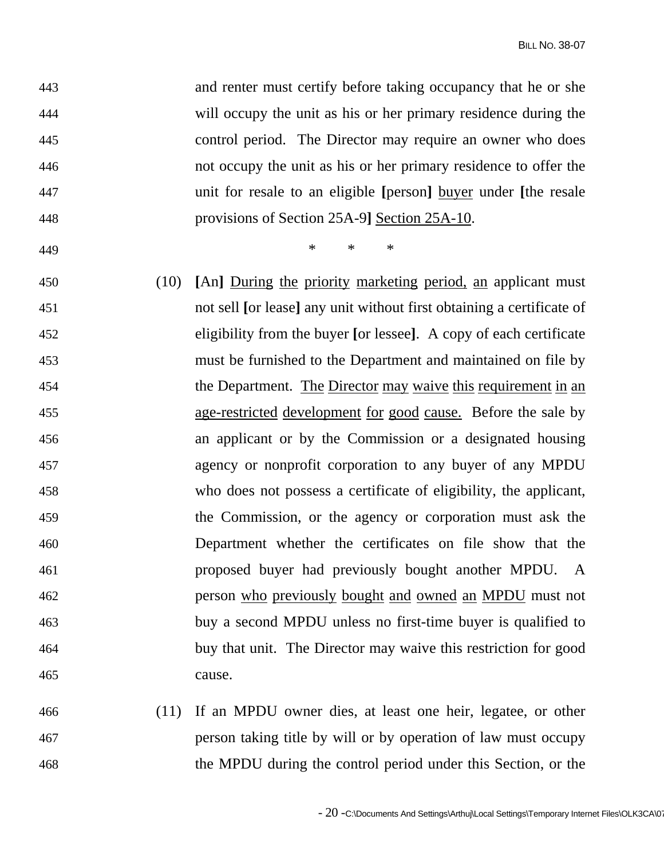| 443 |      | and renter must certify before taking occupancy that he or she        |
|-----|------|-----------------------------------------------------------------------|
| 444 |      | will occupy the unit as his or her primary residence during the       |
| 445 |      | control period. The Director may require an owner who does            |
| 446 |      | not occupy the unit as his or her primary residence to offer the      |
| 447 |      | unit for resale to an eligible [person] buyer under [the resale       |
| 448 |      | provisions of Section 25A-9] Section 25A-10.                          |
| 449 |      | $\ast$<br>$\ast$<br>$\ast$                                            |
| 450 | (10) | [An] During the priority marketing period, an applicant must          |
| 451 |      | not sell [or lease] any unit without first obtaining a certificate of |
| 452 |      | eligibility from the buyer [or lessee]. A copy of each certificate    |
| 453 |      | must be furnished to the Department and maintained on file by         |
| 454 |      | the Department. The Director may waive this requirement in an         |
| 455 |      | age-restricted development for good cause. Before the sale by         |
| 456 |      | an applicant or by the Commission or a designated housing             |
| 457 |      | agency or nonprofit corporation to any buyer of any MPDU              |
| 458 |      | who does not possess a certificate of eligibility, the applicant,     |
| 459 |      | the Commission, or the agency or corporation must ask the             |
| 460 |      | Department whether the certificates on file show that the             |
| 461 |      | proposed buyer had previously bought another MPDU. A                  |
| 462 |      | person who previously bought and owned an MPDU must not               |
| 463 |      | buy a second MPDU unless no first-time buyer is qualified to          |
| 464 |      | buy that unit. The Director may waive this restriction for good       |
| 465 |      | cause.                                                                |
| 466 | (11) | If an MPDU owner dies, at least one heir, legatee, or other           |

467 person taking title by will or by operation of law must occupy 468 the MPDU during the control period under this Section, or the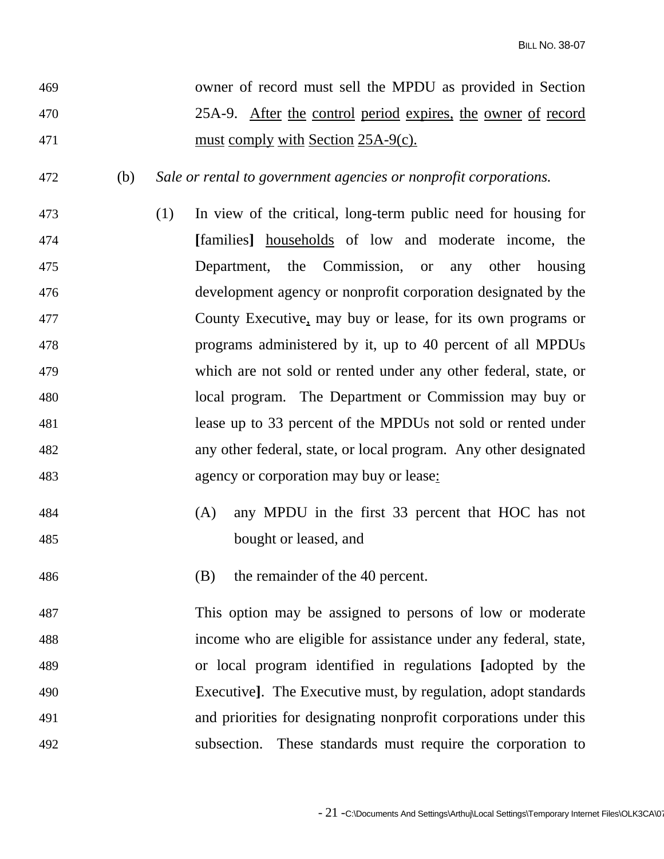- 469 owner of record must sell the MPDU as provided in Section 470 25A-9. After the control period expires, the owner of record 471 must comply with Section 25A-9(c).
- 472 (b) *Sale or rental to government agencies or nonprofit corporations.*
- 473 (1) In view of the critical, long-term public need for housing for 474 **[**families**]** households of low and moderate income, the 475 Department, the Commission, or any other housing 476 development agency or nonprofit corporation designated by the 477 County Executive, may buy or lease, for its own programs or 478 programs administered by it, up to 40 percent of all MPDUs 479 which are not sold or rented under any other federal, state, or 480 local program. The Department or Commission may buy or 481 lease up to 33 percent of the MPDUs not sold or rented under 482 any other federal, state, or local program. Any other designated 483 agency or corporation may buy or lease:
- 484 (A) any MPDU in the first 33 percent that HOC has not 485 bought or leased, and
- 486 (B) the remainder of the 40 percent.
- 487 This option may be assigned to persons of low or moderate 488 income who are eligible for assistance under any federal, state, 489 or local program identified in regulations **[**adopted by the 490 Executive**]**. The Executive must, by regulation, adopt standards 491 and priorities for designating nonprofit corporations under this 492 subsection. These standards must require the corporation to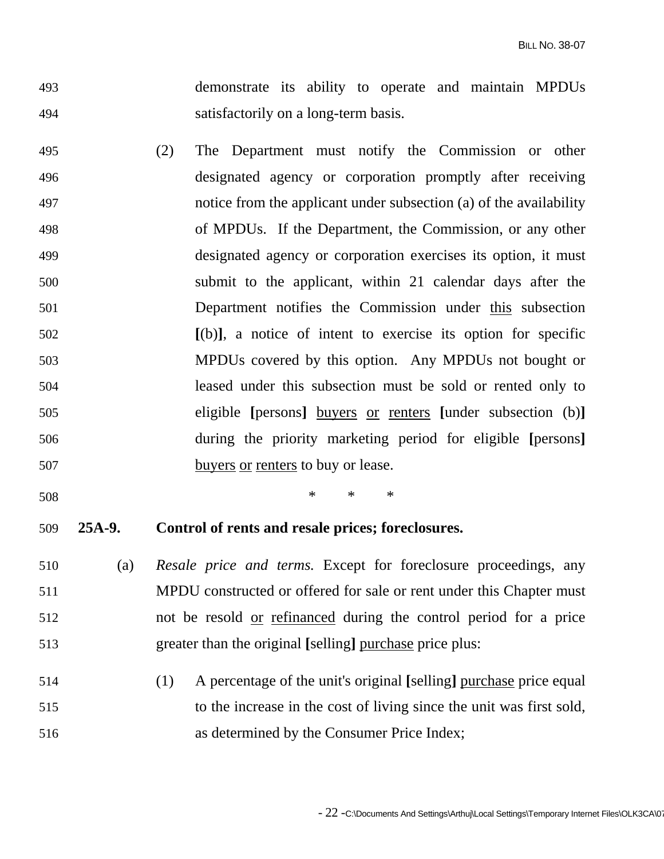- 493 demonstrate its ability to operate and maintain MPDUs 494 satisfactorily on a long-term basis.
- 495 (2) The Department must notify the Commission or other 496 designated agency or corporation promptly after receiving 497 notice from the applicant under subsection (a) of the availability 498 of MPDUs. If the Department, the Commission, or any other 499 designated agency or corporation exercises its option, it must 500 submit to the applicant, within 21 calendar days after the 501 Department notifies the Commission under this subsection 502 **[**(b)**]**, a notice of intent to exercise its option for specific 503 MPDUs covered by this option. Any MPDUs not bought or 504 leased under this subsection must be sold or rented only to 505 eligible **[**persons**]** buyers or renters **[**under subsection (b)**]** 506 during the priority marketing period for eligible **[**persons**]** 507 buyers or renters to buy or lease.
- 

 $508$  \* \* \* \*

## 509 **25A-9. Control of rents and resale prices; foreclosures.**

- 510 (a) *Resale price and terms.* Except for foreclosure proceedings, any 511 MPDU constructed or offered for sale or rent under this Chapter must 512 not be resold or refinanced during the control period for a price 513 greater than the original **[**selling**]** purchase price plus:
- 514 (1) A percentage of the unit's original **[**selling**]** purchase price equal 515 to the increase in the cost of living since the unit was first sold, 516 as determined by the Consumer Price Index;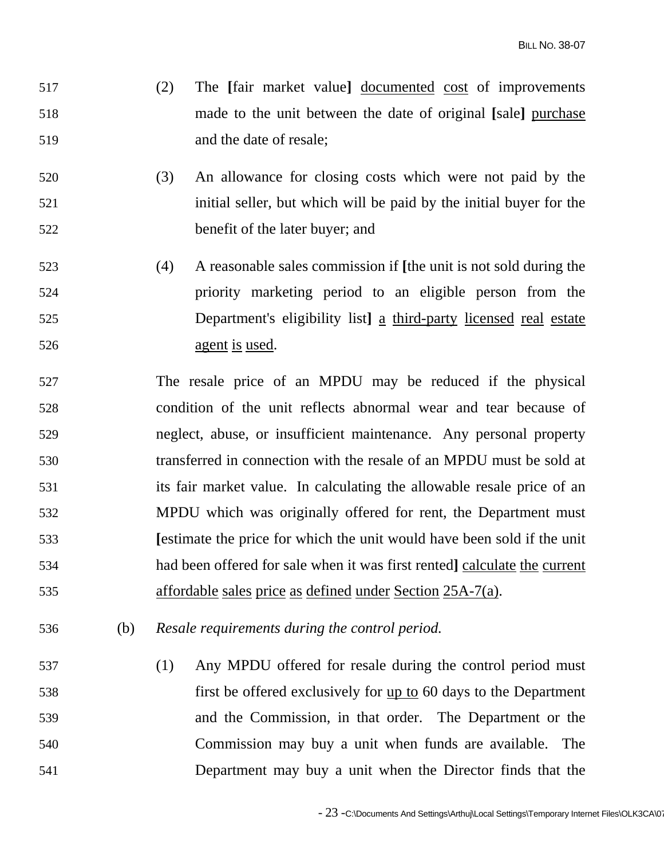- 517 (2) The **[**fair market value**]** documented cost of improvements 518 made to the unit between the date of original **[**sale**]** purchase 519 and the date of resale;
- 520 (3) An allowance for closing costs which were not paid by the 521 initial seller, but which will be paid by the initial buyer for the 522 benefit of the later buyer; and
- 523 (4) A reasonable sales commission if **[**the unit is not sold during the 524 priority marketing period to an eligible person from the 525 Department's eligibility list**]** a third-party licensed real estate 526 agent is used.
- 527 The resale price of an MPDU may be reduced if the physical 528 condition of the unit reflects abnormal wear and tear because of 529 neglect, abuse, or insufficient maintenance. Any personal property 530 transferred in connection with the resale of an MPDU must be sold at 531 its fair market value. In calculating the allowable resale price of an 532 MPDU which was originally offered for rent, the Department must 533 **[**estimate the price for which the unit would have been sold if the unit 534 had been offered for sale when it was first rented**]** calculate the current 535 affordable sales price as defined under Section 25A-7(a).
- 536 (b) *Resale requirements during the control period.*
- 537 (1) Any MPDU offered for resale during the control period must 538 first be offered exclusively for up to 60 days to the Department 539 and the Commission, in that order. The Department or the 540 Commission may buy a unit when funds are available. The 541 Department may buy a unit when the Director finds that the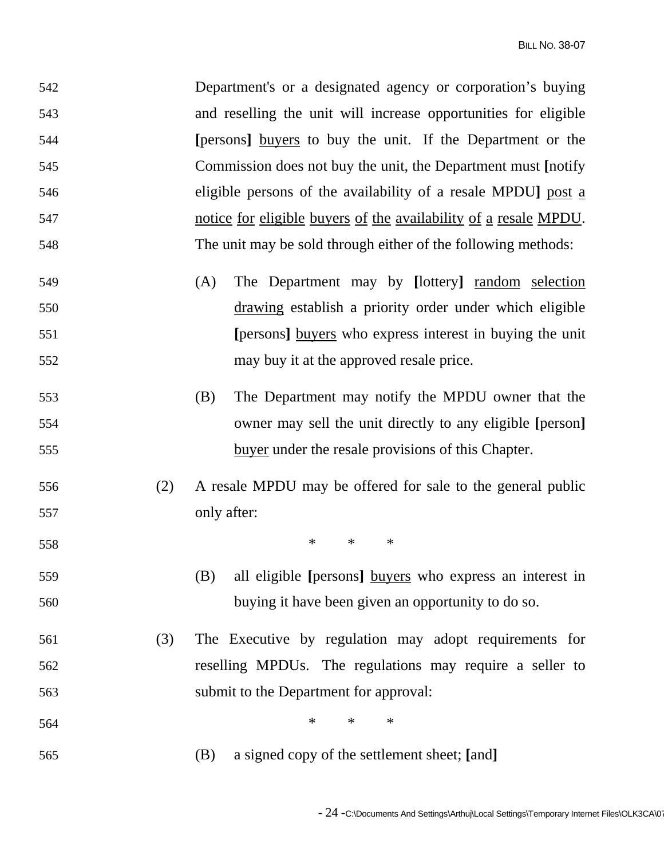| 542 |     | Department's or a designated agency or corporation's buying      |
|-----|-----|------------------------------------------------------------------|
| 543 |     | and reselling the unit will increase opportunities for eligible  |
| 544 |     | [persons] buyers to buy the unit. If the Department or the       |
| 545 |     | Commission does not buy the unit, the Department must [notify]   |
| 546 |     | eligible persons of the availability of a resale MPDU] post a    |
| 547 |     | notice for eligible buyers of the availability of a resale MPDU. |
| 548 |     | The unit may be sold through either of the following methods:    |
| 549 |     | The Department may by [lottery] random selection<br>(A)          |
| 550 |     | drawing establish a priority order under which eligible          |
| 551 |     | [persons] buyers who express interest in buying the unit         |
| 552 |     | may buy it at the approved resale price.                         |
| 553 |     | The Department may notify the MPDU owner that the<br>(B)         |
| 554 |     | owner may sell the unit directly to any eligible [person]        |
| 555 |     | buyer under the resale provisions of this Chapter.               |
| 556 | (2) | A resale MPDU may be offered for sale to the general public      |
| 557 |     | only after:                                                      |
| 558 |     | $\ast$<br>$\ast$<br>$\ast$                                       |
| 559 |     | (B)<br>all eligible [persons] buyers who express an interest in  |
| 560 |     | buying it have been given an opportunity to do so.               |
| 561 | (3) | The Executive by regulation may adopt requirements for           |
| 562 |     | reselling MPDUs. The regulations may require a seller to         |
| 563 |     | submit to the Department for approval:                           |
| 564 |     | $\ast$<br>$\ast$<br>$\ast$                                       |
| 565 |     | a signed copy of the settlement sheet; [and]<br>(B)              |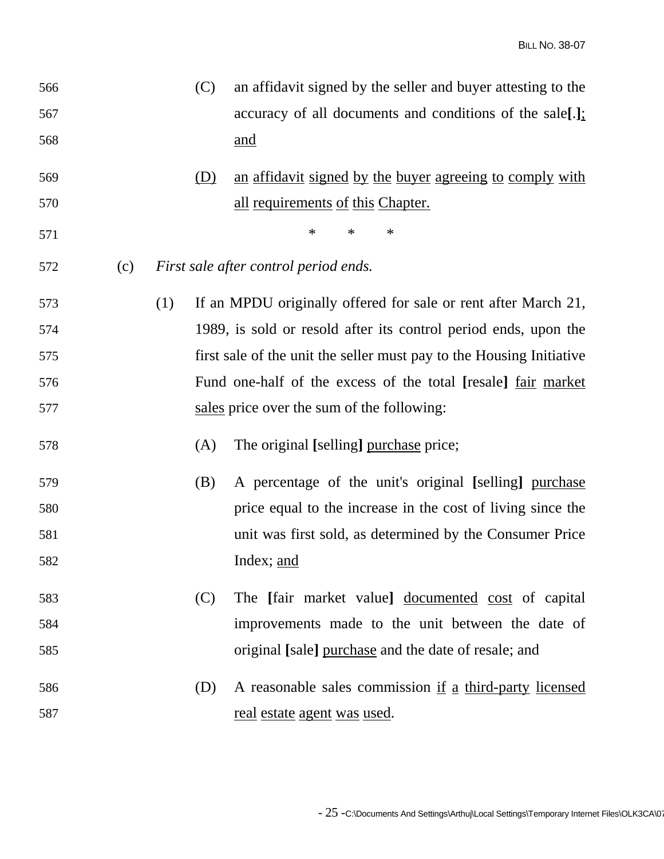| 566 |     |     | (C) | an affidavit signed by the seller and buyer attesting to the         |
|-----|-----|-----|-----|----------------------------------------------------------------------|
| 567 |     |     |     | accuracy of all documents and conditions of the sale[.];             |
| 568 |     |     |     | <u>and</u>                                                           |
| 569 |     |     | (D) | an affidavit signed by the buyer agreeing to comply with             |
| 570 |     |     |     | all requirements of this Chapter.                                    |
| 571 |     |     |     | $\ast$<br>$\ast$<br>∗                                                |
| 572 | (c) |     |     | First sale after control period ends.                                |
| 573 |     | (1) |     | If an MPDU originally offered for sale or rent after March 21,       |
| 574 |     |     |     | 1989, is sold or resold after its control period ends, upon the      |
| 575 |     |     |     | first sale of the unit the seller must pay to the Housing Initiative |
| 576 |     |     |     | Fund one-half of the excess of the total [resale] <u>fair market</u> |
| 577 |     |     |     | sales price over the sum of the following:                           |
| 578 |     |     | (A) | The original [selling] purchase price;                               |
| 579 |     |     | (B) | A percentage of the unit's original [selling] purchase               |
| 580 |     |     |     | price equal to the increase in the cost of living since the          |
| 581 |     |     |     | unit was first sold, as determined by the Consumer Price             |
| 582 |     |     |     | Index; <u>and</u>                                                    |
| 583 |     |     | (C) | The [fair market value] documented cost of capital                   |
| 584 |     |     |     | improvements made to the unit between the date of                    |
| 585 |     |     |     | original [sale] purchase and the date of resale; and                 |
| 586 |     |     | (D) | A reasonable sales commission if a third-party licensed              |
| 587 |     |     |     | <u>real estate agent was used.</u>                                   |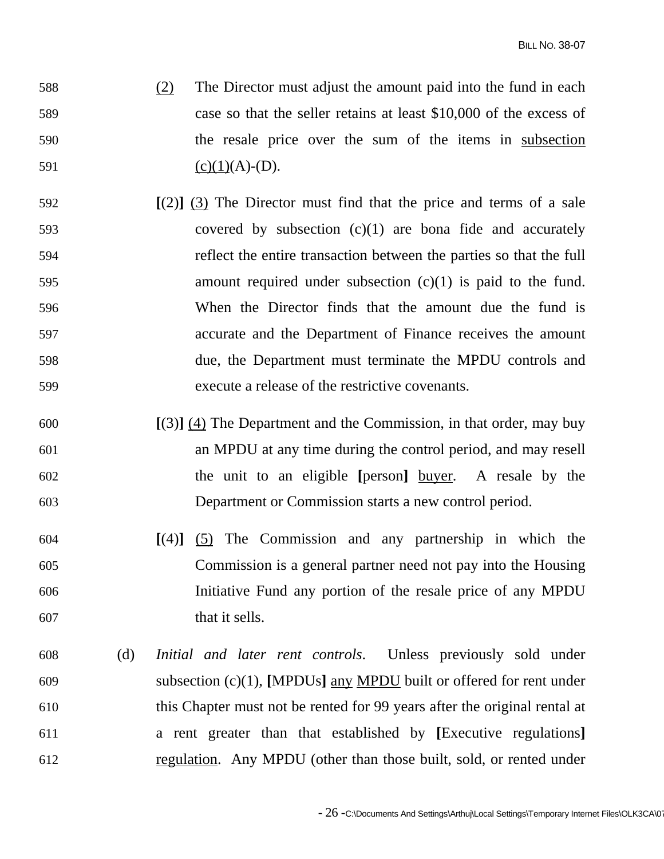- 588 (2) The Director must adjust the amount paid into the fund in each 589 case so that the seller retains at least \$10,000 of the excess of 590 the resale price over the sum of the items in subsection 591 (c)(1)(A)-(D).
- 592 **[**(2)**]** (3) The Director must find that the price and terms of a sale 593 covered by subsection (c)(1) are bona fide and accurately 594 reflect the entire transaction between the parties so that the full 595 amount required under subsection (c)(1) is paid to the fund. 596 When the Director finds that the amount due the fund is 597 accurate and the Department of Finance receives the amount 598 due, the Department must terminate the MPDU controls and 599 execute a release of the restrictive covenants.
- 600 **[**(3)**]** (4) The Department and the Commission, in that order, may buy 601 an MPDU at any time during the control period, and may resell 602 the unit to an eligible **[**person**]** buyer. A resale by the 603 Department or Commission starts a new control period.
- 604 **[**(4)**]** (5) The Commission and any partnership in which the 605 Commission is a general partner need not pay into the Housing 606 Initiative Fund any portion of the resale price of any MPDU 607 that it sells.
- 608 (d) *Initial and later rent controls*. Unless previously sold under 609 subsection (c)(1), **[**MPDUs**]** any MPDU built or offered for rent under 610 this Chapter must not be rented for 99 years after the original rental at 611 a rent greater than that established by **[**Executive regulations**]** 612 regulation. Any MPDU (other than those built, sold, or rented under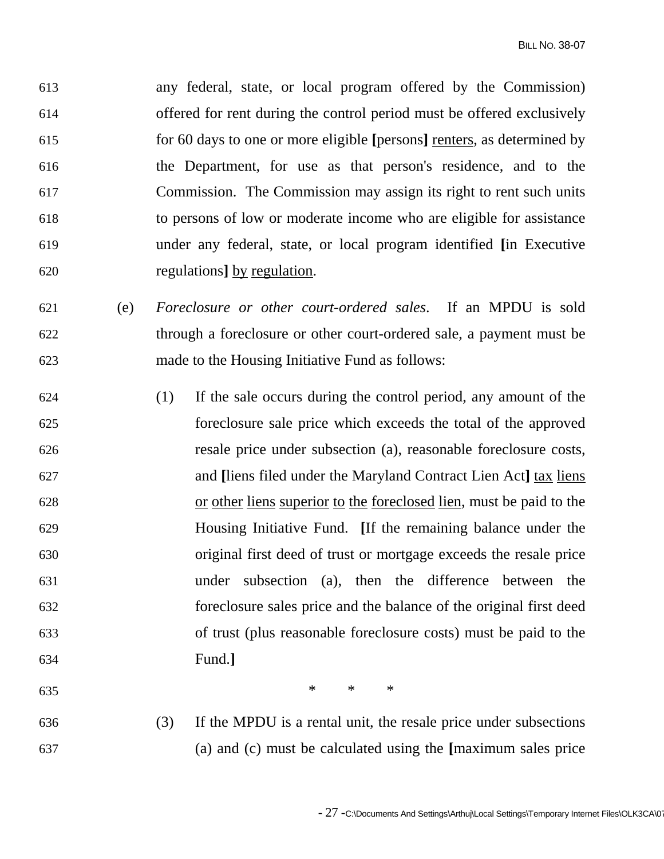613 any federal, state, or local program offered by the Commission) 614 offered for rent during the control period must be offered exclusively 615 for 60 days to one or more eligible **[**persons**]** renters, as determined by 616 the Department, for use as that person's residence, and to the 617 Commission. The Commission may assign its right to rent such units 618 to persons of low or moderate income who are eligible for assistance 619 under any federal, state, or local program identified **[**in Executive 620 regulations**]** by regulation.

- 621 (e) *Foreclosure or other court-ordered sales*. If an MPDU is sold 622 through a foreclosure or other court-ordered sale, a payment must be 623 made to the Housing Initiative Fund as follows:
- 624 (1) If the sale occurs during the control period, any amount of the 625 foreclosure sale price which exceeds the total of the approved 626 resale price under subsection (a), reasonable foreclosure costs, 627 and **[**liens filed under the Maryland Contract Lien Act**]** tax liens 628 or other liens superior to the foreclosed lien, must be paid to the 629 Housing Initiative Fund. **[**If the remaining balance under the 630 original first deed of trust or mortgage exceeds the resale price 631 under subsection (a), then the difference between the 632 foreclosure sales price and the balance of the original first deed 633 of trust (plus reasonable foreclosure costs) must be paid to the 634 Fund.**]**

635  $*$  \* \* \*

636 (3) If the MPDU is a rental unit, the resale price under subsections 637 (a) and (c) must be calculated using the **[**maximum sales price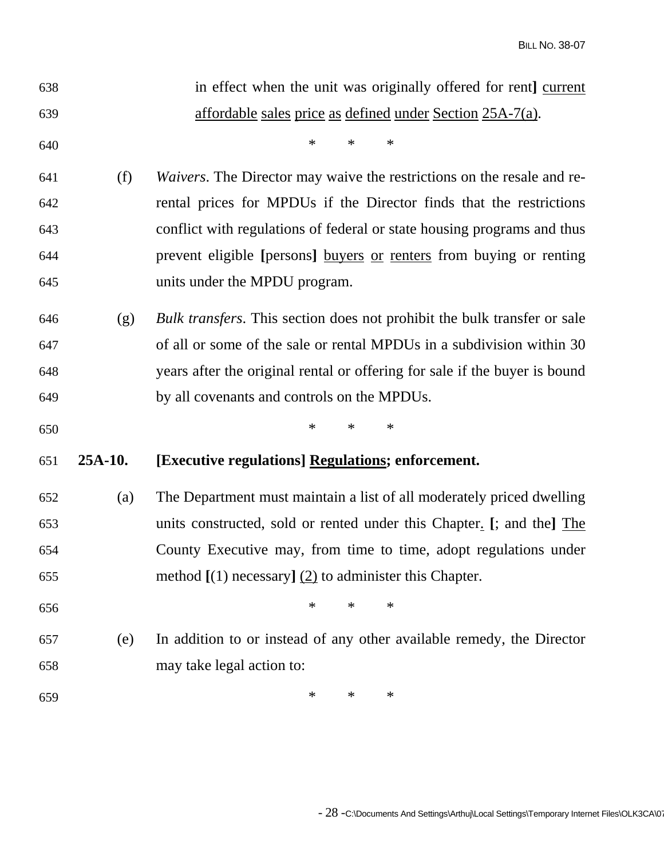| 638 |         | in effect when the unit was originally offered for rent] current                |
|-----|---------|---------------------------------------------------------------------------------|
| 639 |         | affordable sales price as defined under Section 25A-7(a).                       |
| 640 |         | $\ast$<br>$\ast$<br>$\ast$                                                      |
| 641 | (f)     | Waivers. The Director may waive the restrictions on the resale and re-          |
| 642 |         | rental prices for MPDUs if the Director finds that the restrictions             |
| 643 |         | conflict with regulations of federal or state housing programs and thus         |
| 644 |         | prevent eligible [persons] buyers or renters from buying or renting             |
| 645 |         | units under the MPDU program.                                                   |
| 646 | (g)     | <i>Bulk transfers.</i> This section does not prohibit the bulk transfer or sale |
| 647 |         | of all or some of the sale or rental MPDUs in a subdivision within 30           |
| 648 |         | years after the original rental or offering for sale if the buyer is bound      |
| 649 |         | by all covenants and controls on the MPDUs.                                     |
|     |         |                                                                                 |
| 650 |         | $\ast$<br>$\ast$<br>$\ast$                                                      |
| 651 | 25A-10. | [Executive regulations] Regulations; enforcement.                               |
| 652 | (a)     | The Department must maintain a list of all moderately priced dwelling           |
| 653 |         | units constructed, sold or rented under this Chapter. [; and the] The           |
| 654 |         | County Executive may, from time to time, adopt regulations under                |
| 655 |         | method $[(1)$ necessary] $(2)$ to administer this Chapter.                      |
| 656 |         | $\ast$<br>$\ast$<br>$\ast$                                                      |
| 657 | (e)     | In addition to or instead of any other available remedy, the Director           |
| 658 |         | may take legal action to:                                                       |